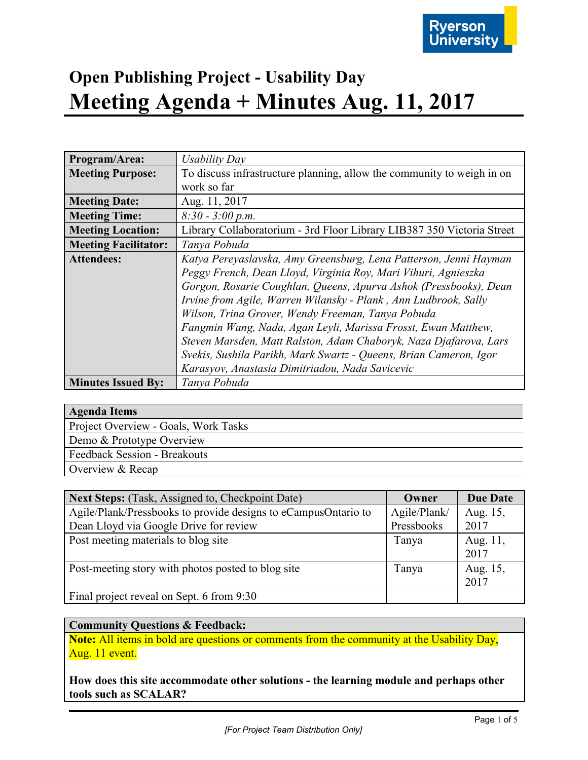

| Program/Area:               | Usability Day                                                          |
|-----------------------------|------------------------------------------------------------------------|
| <b>Meeting Purpose:</b>     | To discuss infrastructure planning, allow the community to weigh in on |
|                             | work so far                                                            |
| <b>Meeting Date:</b>        | Aug. 11, 2017                                                          |
| <b>Meeting Time:</b>        | $8:30 - 3:00 p.m.$                                                     |
| <b>Meeting Location:</b>    | Library Collaboratorium - 3rd Floor Library LIB387 350 Victoria Street |
| <b>Meeting Facilitator:</b> | Tanya Pobuda                                                           |
| <b>Attendees:</b>           | Katya Pereyaslavska, Amy Greensburg, Lena Patterson, Jenni Hayman      |
|                             | Peggy French, Dean Lloyd, Virginia Roy, Mari Vihuri, Agnieszka         |
|                             | Gorgon, Rosarie Coughlan, Queens, Apurva Ashok (Pressbooks), Dean      |
|                             | Irvine from Agile, Warren Wilansky - Plank, Ann Ludbrook, Sally        |
|                             | Wilson, Trina Grover, Wendy Freeman, Tanya Pobuda                      |
|                             | Fangmin Wang, Nada, Agan Leyli, Marissa Frosst, Ewan Matthew,          |
|                             | Steven Marsden, Matt Ralston, Adam Chaboryk, Naza Djafarova, Lars      |
|                             | Svekis, Sushila Parikh, Mark Swartz - Queens, Brian Cameron, Igor      |
|                             | Karasyov, Anastasia Dimitriadou, Nada Savicevic                        |
| <b>Minutes Issued By:</b>   | Tanya Pobuda                                                           |

| <b>Agenda Items</b>                  |  |
|--------------------------------------|--|
| Project Overview - Goals, Work Tasks |  |
| Demo & Prototype Overview            |  |
| <b>Feedback Session - Breakouts</b>  |  |
|                                      |  |

Overview & Recap **Next Steps:** (Task, Assigned to, Checkpoint Date) **Owner Due Date** Agile/Plank/Pressbooks to provide designs to eCampusOntario to Dean Lloyd via Google Drive for review Agile/Plank/ Pressbooks Aug. 15, 2017 Post meeting materials to blog site Tanya Aug. 11, 2017 Post-meeting story with photos posted to blog site Tanya Aug. 15, 2017

Final project reveal on Sept. 6 from 9:30

### **Community Questions & Feedback:**

**Note:** All items in bold are questions or comments from the community at the Usability Day, Aug. 11 event.

**How does this site accommodate other solutions - the learning module and perhaps other tools such as SCALAR?**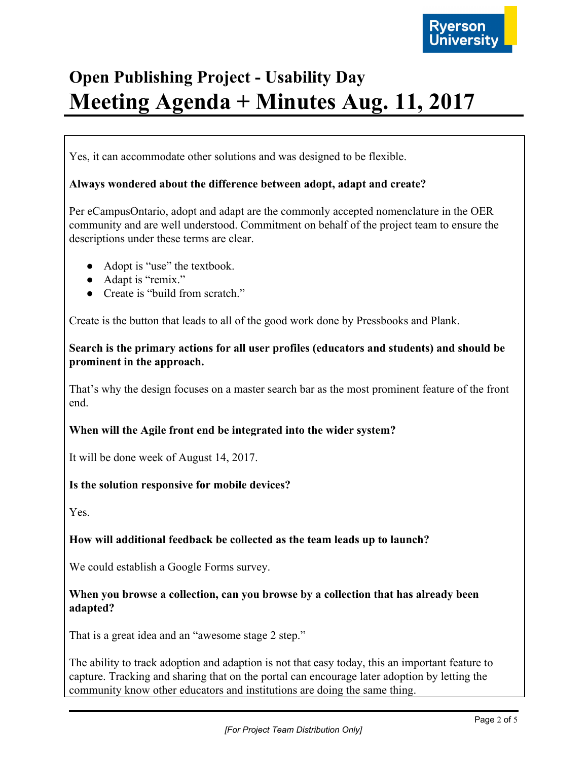

Yes, it can accommodate other solutions and was designed to be flexible.

### **Always wondered about the difference between adopt, adapt and create?**

Per eCampusOntario, adopt and adapt are the commonly accepted nomenclature in the OER community and are well understood. Commitment on behalf of the project team to ensure the descriptions under these terms are clear.

- Adopt is "use" the textbook.
- Adapt is "remix."
- Create is "build from scratch."

Create is the button that leads to all of the good work done by Pressbooks and Plank.

**Search is the primary actions for all user profiles (educators and students) and should be prominent in the approach.**

That's why the design focuses on a master search bar as the most prominent feature of the front end.

### **When will the Agile front end be integrated into the wider system?**

It will be done week of August 14, 2017.

### **Is the solution responsive for mobile devices?**

Yes.

### **How will additional feedback be collected as the team leads up to launch?**

We could establish a Google Forms survey.

## **When you browse a collection, can you browse by a collection that has already been adapted?**

That is a great idea and an "awesome stage 2 step."

The ability to track adoption and adaption is not that easy today, this an important feature to capture. Tracking and sharing that on the portal can encourage later adoption by letting the community know other educators and institutions are doing the same thing.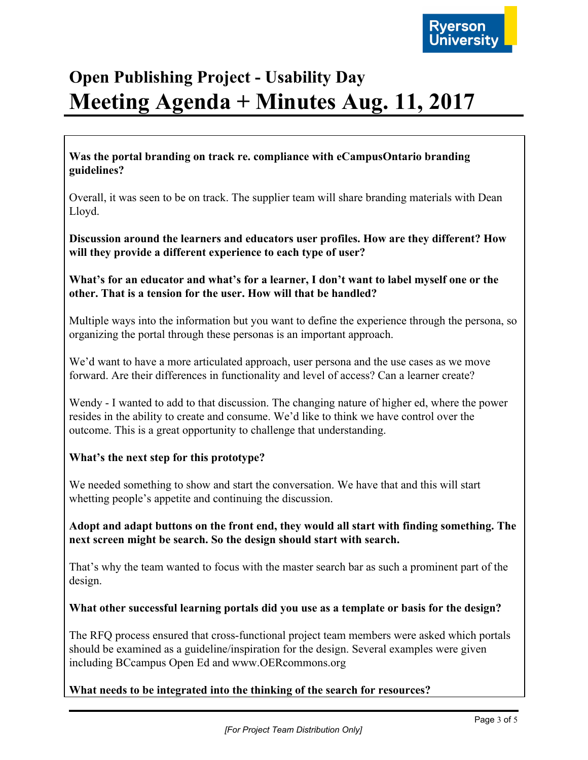

**Was the portal branding on track re. compliance with eCampusOntario branding guidelines?**

Overall, it was seen to be on track. The supplier team will share branding materials with Dean Lloyd.

**Discussion around the learners and educators user profiles. How are they different? How will they provide a different experience to each type of user?**

**What's for an educator and what's for a learner, I don't want to label myself one or the other. That is a tension for the user. How will that be handled?**

Multiple ways into the information but you want to define the experience through the persona, so organizing the portal through these personas is an important approach.

We'd want to have a more articulated approach, user persona and the use cases as we move forward. Are their differences in functionality and level of access? Can a learner create?

Wendy - I wanted to add to that discussion. The changing nature of higher ed, where the power resides in the ability to create and consume. We'd like to think we have control over the outcome. This is a great opportunity to challenge that understanding.

## **What's the next step for this prototype?**

We needed something to show and start the conversation. We have that and this will start whetting people's appetite and continuing the discussion.

**Adopt and adapt buttons on the front end, they would all start with finding something. The next screen might be search. So the design should start with search.**

That's why the team wanted to focus with the master search bar as such a prominent part of the design.

## **What other successful learning portals did you use as a template or basis for the design?**

The RFQ process ensured that cross-functional project team members were asked which portals should be examined as a guideline/inspiration for the design. Several examples were given including BCcampus Open Ed and www.OERcommons.org

**What needs to be integrated into the thinking of the search for resources?**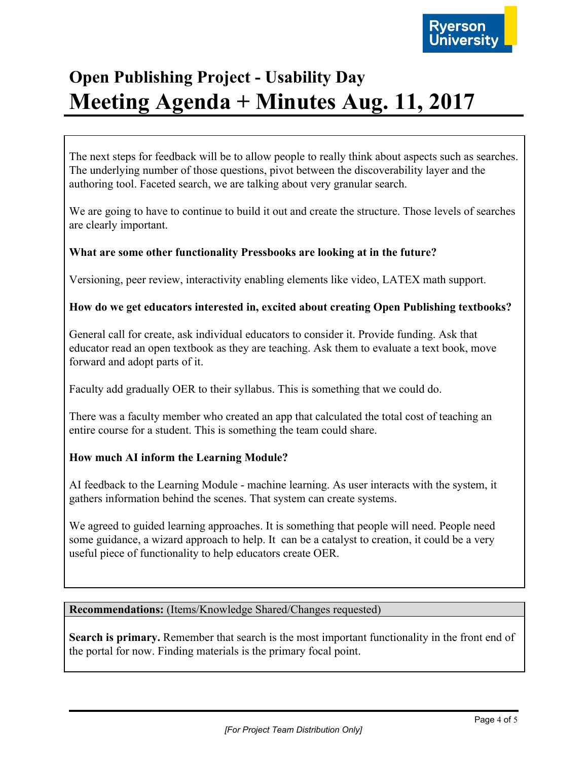

The next steps for feedback will be to allow people to really think about aspects such as searches. The underlying number of those questions, pivot between the discoverability layer and the authoring tool. Faceted search, we are talking about very granular search.

We are going to have to continue to build it out and create the structure. Those levels of searches are clearly important.

## **What are some other functionality Pressbooks are looking at in the future?**

Versioning, peer review, interactivity enabling elements like video, LATEX math support.

### **How do we get educators interested in, excited about creating Open Publishing textbooks?**

General call for create, ask individual educators to consider it. Provide funding. Ask that educator read an open textbook as they are teaching. Ask them to evaluate a text book, move forward and adopt parts of it.

Faculty add gradually OER to their syllabus. This is something that we could do.

There was a faculty member who created an app that calculated the total cost of teaching an entire course for a student. This is something the team could share.

## **How much AI inform the Learning Module?**

AI feedback to the Learning Module - machine learning. As user interacts with the system, it gathers information behind the scenes. That system can create systems.

We agreed to guided learning approaches. It is something that people will need. People need some guidance, a wizard approach to help. It can be a catalyst to creation, it could be a very useful piece of functionality to help educators create OER.

### **Recommendations:** (Items/Knowledge Shared/Changes requested)

**Search is primary.** Remember that search is the most important functionality in the front end of the portal for now. Finding materials is the primary focal point.